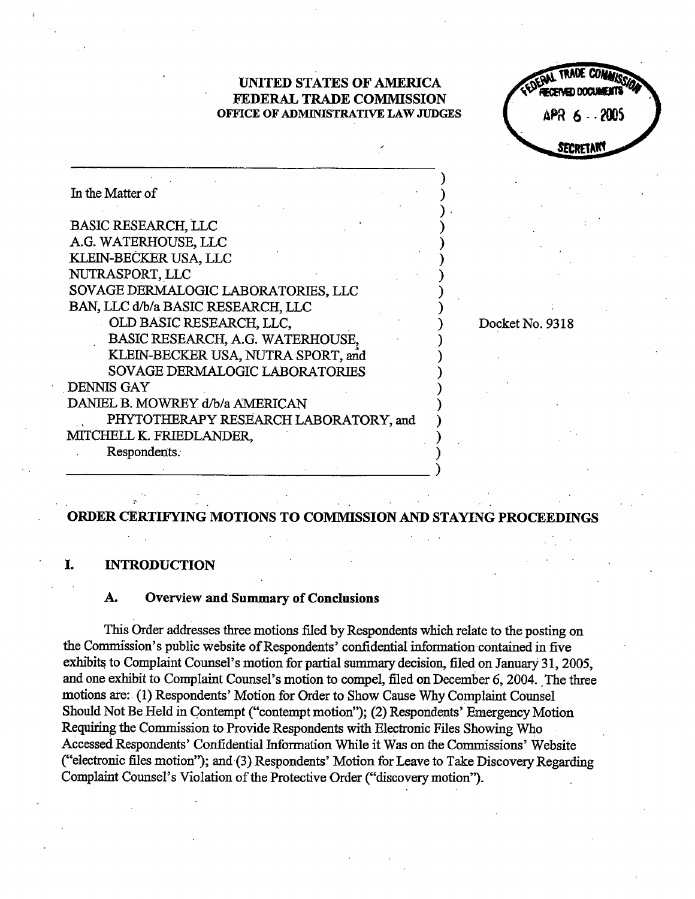UNITED STATES OF AMRICA FEDERAL TRADE COMMISSION OFFICE OF ADMINISTRATIVE LAW JUDGES

ZASPAGED DOCEN APR 6 - 2005 SECRETAR

Docket No. 9318

| In the Matter of                      |  |
|---------------------------------------|--|
| <b>BASIC RESEARCH, LLC</b>            |  |
| A.G. WATERHOUSE, LLC                  |  |
| KLEIN-BECKER USA, LLC                 |  |
| NUTRASPORT, LLC                       |  |
| SOVAGE DERMALOGIC LABORATORIES, LLC   |  |
| BAN, LLC d/b/a BASIC RESEARCH, LLC    |  |
| OLD BASIC RESEARCH, LLC,              |  |
| BASIC RESEARCH, A.G. WATERHOUSE,      |  |
| KLEIN-BECKER USA, NUTRA SPORT, and    |  |
| SOVAGE DERMALOGIC LABORATORIES        |  |
| <b>DENNIS GAY</b>                     |  |
| DANIEL B. MOWREY d/b/a AMERICAN       |  |
| PHYTOTHERAPY RESEARCH LABORATORY, and |  |
| ITCHELL K. FRIEDLANDER,               |  |
| Respondents.                          |  |

# ORDER CERTIFYING MOTIONS TO COMMISSION AND STAYING PROCEEDINGS

### I. INTRODUCTION

### Overview and Summary of Conclusions А.

This Order addresses three motions filed by Respondents which relate to the posting on the Commission's public website of Respondents' confidential information contained in five exhibits to Complaint Counsel's motion for partial summary decision, filed on January 31, 2005. and one exhibit to Complaint Counsel's motion to compel, filed on December 6, 2004. The three motions are:. (1) Respondents' Motion for Order to Show Cause Why Complait Counsel Should Not Be Held in Contempt ("contempt motion"); (2) Respondents' Emergency Motion Requiring the Commission to Provide Respondents with Electronic Files Showing Who Accessed Respondents' Confidential Information While it Was on the Commissions' Website ("electronic files motion"); and (3) Respondents' Motion for Leave to Take Discovery Regarding Complaint Counsel's Violation of the Protective Order ("discovery motion").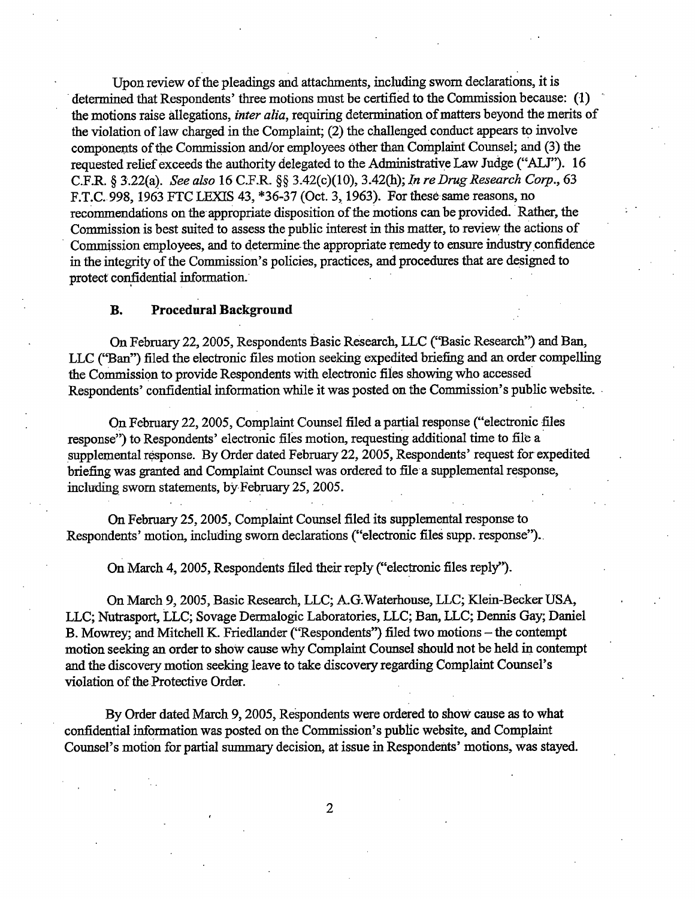Upon review of the pleadings and attachments, including sworn declarations, it is determined that Respondents' three motions must be certified to the Commission because: (1) the motions raise allegations, *inter alia*, requiring determination of matters beyond the merits of the violation of law charged in the Complaint; (2) the challenged conduct appears to involve components of the Commission and/or employees other than Complaint Counsel; and (3) the requested relief exceeds the authority delegated to the Administrative Law Judge ("ALJ"). 16 C.F.R. § 3.22(a). See also 16 C.F.R. §§ 3.42(c)(10), 3.42(h); In re Drug Research Corp., 63 F.T.C. 998, 1963 FTC LEXIS 43, \*36-37 (Oct. 3, 1963). For these same reasons, no recommendations on the appropriate disposition of the motions can be provided. Rather, the Commission is best suited to assess the public interest in this matter, to review the actions of Commission employees, and to determine the appropriate remedy to ensure industry confidence in the integrity of the Commission's policies, practices, and procedures that are designed to protect confidential information.

### **B.** Procedural Background

On February 22, 2005, Respondents Basic Research, LLC ("Basic Research") and Ban, LLC ("Ban") filed the electronic files motion seeking expedited briefing and an order compelling the Commission to provide Respondents with electronic files showing who accessed Respondents' confidential information while it was posted on the Commission's public website.

On February 22, 2005, Complaint Counsel filed a partial response ("electronic files response") to Respondents' electronic files motion, requesting additional time to file a supplemental response. By Order dated February 22, 2005, Respondents' request for expedited briefing was granted and Complaint Counsel was ordered to file a supplemental response, including sworn statements, by February 25, 2005.

On February 25, 2005, Complaint Counsel filed its supplemental response to Respondents' motion, including sworn declarations ("electronic files supp. response").

On March 4, 2005, Respondents filed their reply ("electronic files reply").

On March 9, 2005, Basic Research, LLC; A. Waterhouse, LLC; Klein-Becker USA LLC; Nutrasport, LLC; Sovage Dermalogic Laboratories, LLC; Ban, LLC; Dennis Gay; Daniel B. Mowrey; and Mitchell K. Friedlander ('Respondents'') filed two motions - the contempt motion seekig an order to show cause why Complaint Counsel should not be held in contempt and the discovery motion seeking leave to take discovery regarding Complaint Counsel's violation of the Protective Order.

By Order dated March 9, 2005, Respondents were ordered to show cause as to what confidential information was posted on the Commission's public website, and Complaint Counsel's motion for partial summary decision, at issue in Respondents' motions, was stayed.

 $\overline{2}$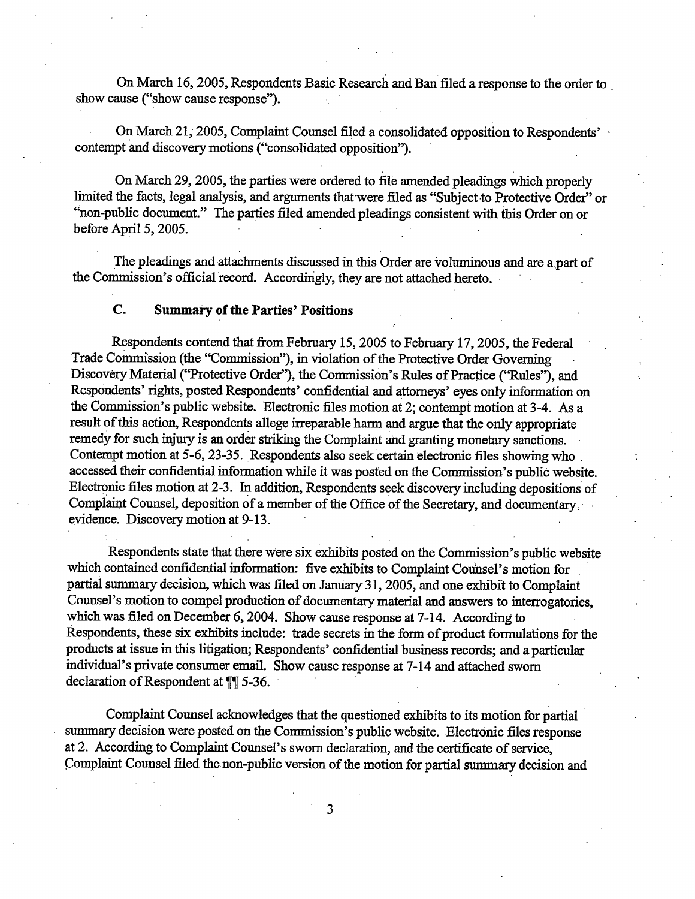On March 16, 2005, Respondents Basic Research and Ban filed a response to the order to show cause ("show cause response").

On March 21, 2005, Complaint Counsel filed a consolidated opposition to Respondents' contempt and discovery motions ("consolidated opposition").

On March 29, 2005, the parties were ordered to file amended pleadings which properly limited the facts, legal analysis, and arguments that were filed as "Subject to Protective Order" or "non-public document." The parties filed amended pleadings consistent with this Order on or before April 5, 2005.

The pleadings and attachments discussed in this Order are voluminous and are a part of the Commission's official record. Accordingly, they are not attached hereto.

## C. Summary of the Parties' Positions

Respondents contend that from February 15, 2005 to February 17, 2005, the Federal Trade Commission (the "Commission"), in violation of the Protective Order Governing Discovery Material ("Protective Order"), the Commission's Rules of Practice ("Rules"), and Respondents' rights, posted Respondents' confidential and attorneys' eyes only information on the Commission's public website. Electronic files motion at 2; contempt motion at 3-4. As a result of this action, Respondents allege irreparable harm and argue that the only appropriate remedy for such injury is an order striking the Complaint and granting monetary sanctions. Contempt motion at 5-6, 23-35. Respondents also seek certain electronic files showing who. accessed their confidential information while it was posted on the Commission's public website. Electronic files motion at 2-3. In addition, Respondents seek discovery including depositions of Complaint Counsel, deposition of a member of the Office of the Secretary, and documentary, evidence. Discovery motion at 9-13.

Respondents state that there were six exhibits posted on the Commission's public website which contained confidential information: five exhibits to Complaint Counsel's motion for partial summary decision, which was filed on January 31, 2005, and one exhibit to Complaint Counsel's motion to compel production of documentary material and answers to interrogatories. which was filed on December 6, 2004. Show cause response at 7-14. According to Respondents, these six exhbits include: trade secrets in the form of product formulations for the products at issue in this litigation; Respondents' confidential business records; and a particular individual's private consumer email. Show cause response at 7-14 and attached sworn declaration of Respondent at  $\P$  5-36.

Complaint Counsel acknowledges that the questioned exhibits to its motion for partial summary decision were posted on the Commission's public website. Electronic files response at 2. According to Complaint Counsel's sworn declaration, and the certificate of service, Complaint Counsel filed the non-public version of the motion for partial summary decision and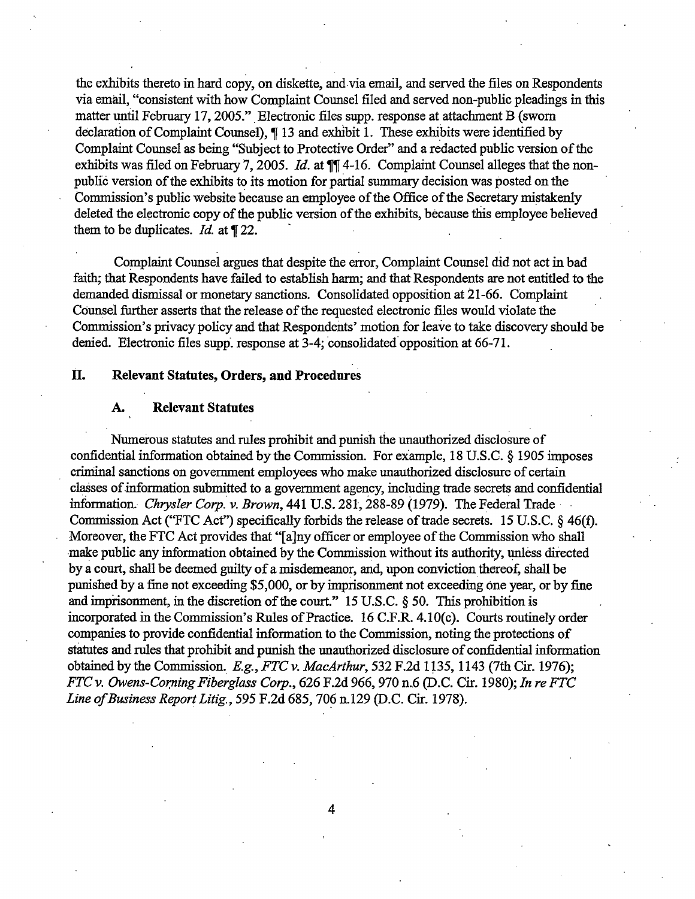the exhibits thereto in hard copy, on diskette, and via email, and served the files on Respondents via email, "consistent with how Complaint Counsel filed and served non-public pleadings in this matter until February 17, 2005." Electronic files supp. response at attachment B (sworn declaration of Complaint Counsel),  $\P$  13 and exhibit 1. These exhibits were identified by Complait Counsel as being "Subject to Protective Order" and a redacted public version of the exhibits was filed on February 7, 2005. Id. at  $\P$  $I$  4-16. Complaint Counsel alleges that the nonpublic version of the exhibits to its motion for partial summary decision was posted on the Commission's public website because an employee of the Office of the Secretary mistakenly deleted the electronic copy of the public version of the exhibits, because this employee believed them to be duplicates. *Id.* at  $\P$  22.

Complaint Counel argues that despite the error, Complait Counsel did not act in bad faith; that Respondents have failed to establish harm; and that Respondents are not entitled to the demanded dismissal or monetary sanctions. Consolidated opposition at 21-66. Complaint Counsel further asserts that the release of the requested electronic files would violate the Commission's privacy policy and that Respondents' motion for leave to take discovery should be denied. Electronic files supp. response at 3-4; consolidated opposition at 66-71.

# II. Relevant Statutes, Orders, and Procedures

#### A. Relevant Statutes

Numerous statutes and rules prohibit and punsh the unauthorized disclosure of confidential information obtained by the Commission. For example, 18 U.S.C.  $\S$  1905 imposes criminal sanctions on government employees who make unauthorized disclosure of certain classes of information submitted to a government agency, including trade secrets and confidential information. Chrysler Corp. v. Brown, 441 U.S. 281, 288-89 (1979). The Federal Trade Commission Act ("FTC Act") specifically forbids the release of trade secrets. 15 U.S.C.  $\S$  46(f). Moreover, the FTC Act provides that "[a]ny officer or employee of the Commission who shall make public any information obtained by the Commission without its authority, unless directed by a court, shall be deemed guilty of a misdemeanor, and, upon conviction thereof, shall be punished by a fine not exceeding \$5,000, or by imprisonment not exceeding one year, or by fine and imprisonment, in the discretion of the court."  $15$  U.S.C.  $\S$  50. This prohibition is incorporated in the Commission's Rules of Practice. 16 C.F.R. 4.10(c). Courts routinely order companies to provide confidential information to the Commission, noting the protections of statutes and rules that prohibit and punish the unauthorized disclosure of confidential information obtained by the Commission. E.g., FTC v. MacArthur, 532 F.2d 1135, 1143 (7th Cir. 1976); FTC v. Owens-Corning Fiberglass Corp., 626 F.2d 966, 970 n.6 (D.C. Cir. 1980); In re FTC Line of Business Report Litig., 595 F.2d 685, 706 n.129 (D.C. Cir. 1978).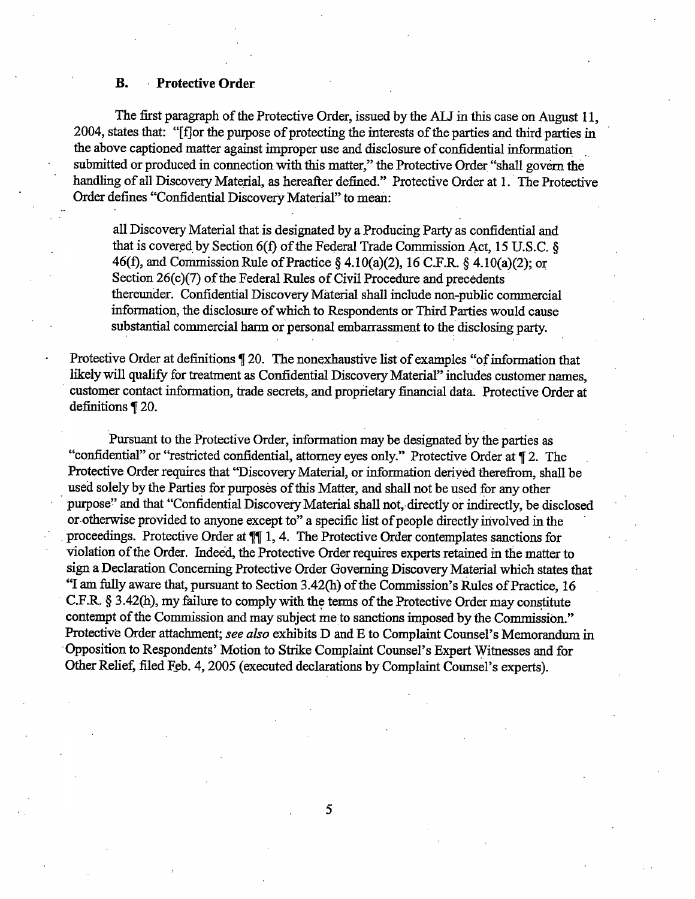# **B. Protective Order**

The first paragraph of the Protective Order, issued by the ALJ in this case on August 11, 2004, states that: "[f] or the purpose of protecting the interests of the parties and third parties in the above captioned matter against improper use and disclosure of confidential information submitted or produced in connection with this matter," the Protective Order "shall govern the handling of all Discovery Material, as hereafter defined." Protective Order at 1. The Protective Order defines "Confidential Discovery Material" to mean:

all Discovery Material that is designated by a Producing Party as confidential and that is covered by Section 6(f) of the Federal Trade Commission Act, 15 U.S.C. & 46(f), and Commission Rule of Practice § 4.10(a)(2), 16 C.F.R. § 4.10(a)(2); or Section 26(c)(7) of the Federal Rules of Civil Procedure and precedents thereunder. Confidential Discovery Material shall include non-public commercial information, the disclosure of which to Respondents or Third Parties would cause substantial commercial harm or personal embarrassment to the disclosing party.

Protective Order at definitions ¶ 20. The nonexhaustive list of examples "of information that likely will qualify for treatment as Confidential Discovery Material" includes customer names, customer contact information, trade secrets, and proprietary financial data. Protective Order at definitions [ 20.

Pursuant to the Protective Order, information may be designated by the parties as "confidential" or "restricted confidential, attorney eyes only." Protective Order at ¶ 2. The Protective Order requires that "Discovery Material, or information derived therefrom, shall be used solely by the Parties for purposes of this Matter, and shall not be used for any other purpose" and that "Confidential Discovery Material shall not, directly or indirectly, be disclosed or otherwise provided to anyone except to" a specific list of people directly involved in the proceedings. Protective Order at  $\P$  1, 4. The Protective Order contemplates sanctions for violation of the Order. Indeed, the Protective Order requires experts retained in the matter to sign a Declaration Concerning Protective Order Governing Discovery Material which states that "I am fully aware that, pursuant to Section 3.42(h) of the Commission's Rules of Practice, 16 C.F.R. § 3.42(h), my failure to comply with the terms of the Protective Order may constitute contempt of the Commission and may subject me to sanctions imposed by the Commission." Protective Order attachment; see also exhibits D and E to Complaint Counsel's Memorandum in Opposition to Respondents' Motion to Strike Complaint Counsel's Expert Witnesses and for Other Relief, filed Feb. 4, 2005 (executed declarations by Complaint Counsel's experts).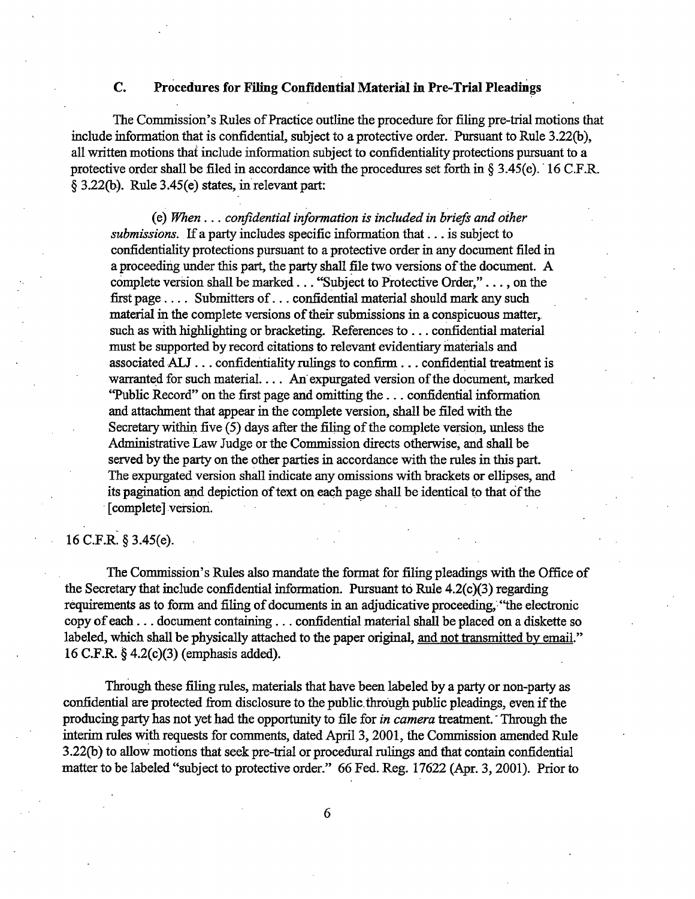# $\mathbf{C}$ Procedures for Filing Confidential Material in Pre-Trial Pleadings

The Commission's Rules of Practice outline the procedure for filing pre-trial motions that include information that is confidential, subject to a protective order. Pursuant to Rule 3.22(b), all written motions that include information subject to confidentiality protections pursuant to a protective order shall be filed in accordance with the procedures set forth in § 3.45(e). 16 C.F.R.  $\S$  3.22(b). Rule 3.45(e) states, in relevant part:

(e) When . . . confidential information is included in briefs and other submissions. If a party includes specific information that . . . is subject to confidentiality protections pursuant to a protective order in any document filed in a proceeding under this part, the party shall file two versions of the document. A complete version shall be marked . . . "Subject to Protective Order," . . . , on the first page . . . . Submitters of . . . confidential material should mark any such material in the complete versions of their submissions in a conspicuous matter, such as with highlighting or bracketing. References to ... confidential material must be supported by record citations to relevant evidentiary materials and associated ALJ ... confidentiality rulings to confirm ... confidential treatment is warranted for such material.... An expurgated version of the document, marked "Public Record" on the first page and omitting the ... confidential information and attachment that appear in the complete version, shall be filed with the Secretary within five (5) days after the filing of the complete version, unless the Administrative Law Judge or the Commission directs otherwise, and shall be served by the party on the other parties in accordance with the rules in this part. The expurgated version shall indicate any omissions with brackets or ellipses, and its pagination and depiction of text on each page shall be identical to that of the [complete] version.

# 16 C.F.R. § 3.45(e).

The Commission's Rules also mandate the format for filing pleadings with the Office of the Secretary that include confidential information. Pursuant to Rule 4.2(c)(3) regarding requirements as to form and filing of documents in an adjudicative proceeding, "the electronic copy of each . . . document containing . . . confidential material shall be placed on a diskette so labeled, which shall be physically attached to the paper original, and not transmitted by email." 16 C.F.R. § 4.2(c)(3) (emphasis added).

Through these filing rules, materials that have been labeled by a party or non-party as confidential are protected from disclosure to the public through public pleadings, even if the producing party has not yet had the opportunity to file for *in camera* treatment. Through the interim rules with requests for comments, dated April 3, 2001, the Commission amended Rule 3.22(b) to allow motions that seek pre-trial or procedural rulings and that contain confidential matter to be labeled "subject to protective order." 66 Fed. Reg. 17622 (Apr. 3, 2001). Prior to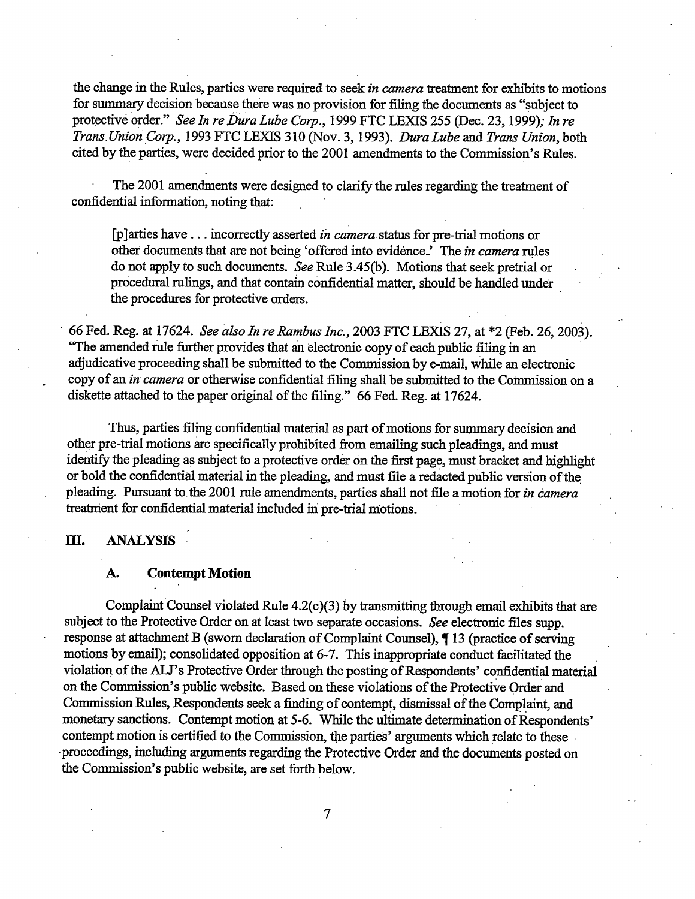the change in the Rules, parties were required to seek in camera treatment for exhibits to motions for summary decision because there was no provision for filing the documents as "subject to protective order." See In re Dura Lube Corp., 1999 FTC LEXIS 255 (Dec. 23, 1999); In re Trans Union Corp., 1993 FTC LEXIS 310 (Nov. 3, 1993). Dura Lube and Trans Union, both cited by the parties, were decided prior to the 2001 amendments to the Commission's Rules.

The 2001 amendments were designed to clarify the rules regarding the treatment of confidential information, noting that:

[p]arties have . . . incorrectly asserted in camera status for pre-trial motions or other documents that are not being 'offered into evidence.' The in camera rules do not apply to such documents. See Rule 3.45(b). Motions that seek pretrial or procedural rulings, and that contain confidential matter, should be handled under the procedures for protective orders.

66 Fed. Reg. at 17624. See also In re Rambus Inc., 2003 FTC LEXIS 27, at \*2 (Feb. 26, 2003). "The amended rule further provides that an electronic copy of each public filing in an adjudicative proceeding shall be submitted to the Commission by e-mail, while an electronic copy of an in camera or otherwise confidential filing shall be submitted to the Commission on a diskette attached to the paper original of the filing." 66 Fed. Reg. at 17624.

Thus, parties filing confidential material as part of motions for summary decision and other pre-trial motions are specifically prohibited from emailing such pleadings, and must identify the pleading as subject to a protective order on the first page, must bracket and highlight or bold the confidential material in the pleading, and must file a redacted public version of the pleading. Pursuant to the 2001 rule amendments, parties shall not file a motion for in camera treatment for confidential material included in pre-trial motions.

### Ш. **ANALYSIS**

### **Contempt Motion** A.

Complaint Counsel violated Rule 4.2(c)(3) by transmitting through email exhibits that are subject to the Protective Order on at least two separate occasions. See electronic files supp. response at attachment B (sworn declaration of Complaint Counsel), ¶13 (practice of serving motions by email); consolidated opposition at 6-7. This inappropriate conduct facilitated the violation of the ALJ's Protective Order through the posting of Respondents' confidential material on the Commission's public website. Based on these violations of the Protective Order and Commission Rules, Respondents seek a finding of contempt, dismissal of the Complaint, and monetary sanctions. Contempt motion at 5-6. While the ultimate determination of Respondents' contempt motion is certified to the Commission, the parties' arguments which relate to these proceedings, including arguments regarding the Protective Order and the documents posted on the Commission's public website, are set forth below.

 $\overline{7}$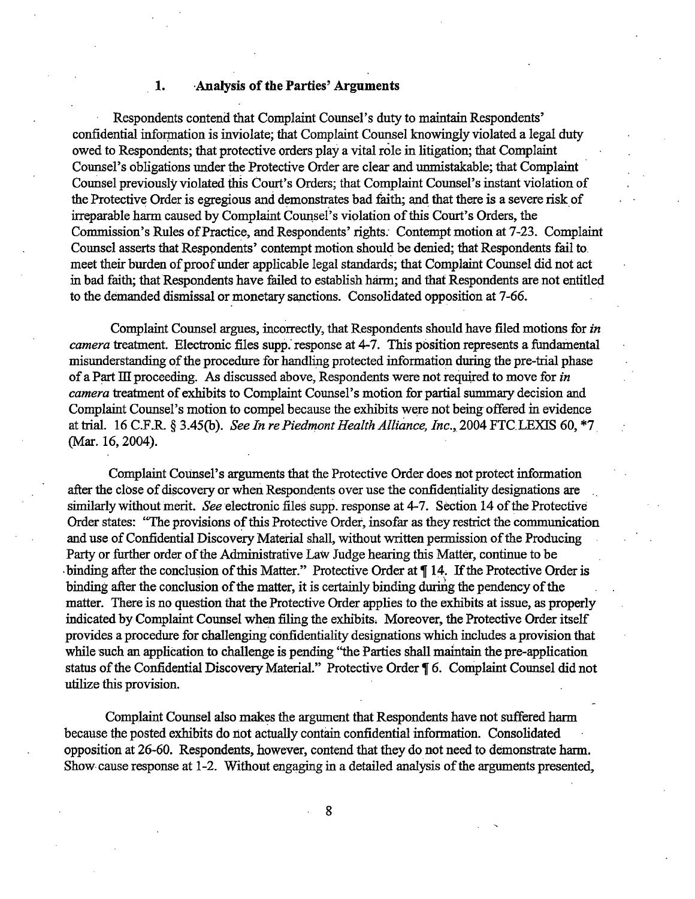### Analysis of the Parties' Arguments 1.

Respondents contend that Complaint Counsel's duty to maintain Respondents' confidential information is inviolate; that Complaint Counsel knowingly violated a legal duty owed to Respondents; that protective orders play a vital role in litigation; that Complaint Counsel's obligations under the Protective Order are clear and unmistakable; that Complaint Counsel previously violated this Court's Orders; that Complaint Counsel's instant violation of the Protective Order is egregious and demonstrates bad faith; and that there is a severe risk of irreparable harm caused by Complaint Counsel's violation of this Court's Orders, the Commission's Rules of Practice, and Respondents' rights. Contempt motion at 7-23. Complaint Counsel asserts that Respondents' contempt motion should be denied; that Respondents fail to meet their burden of proof under applicable legal standards; that Complaint Counsel did not act in bad faith; that Respondents have failed to establish harm; and that Respondents are not entitled to the demanded dismissal or monetary sanctions. Consolidated opposition at 7-66.

Complaint Counsel argues, incorrectly, that Respondents should have filed motions for in camera treatment. Electronic files supp. response at 4-7. This position represents a fundamental misunderstanding of the procedure for handling protected information during the pre-trial phase of a Part III proceeding. As discussed above, Respondents were not required to move for in camera treatment of exhibits to Complaint Counsel's motion for partial summary decision and Complaint Counsel's motion to compel because the exhibits were not being offered in evidence at trial. 16 C.F.R. § 3.45(b). See In re Piedmont Health Alliance, Inc., 2004 FTC LEXIS 60, \*7 (Mar. 16, 2004).

Complaint Counsel's arguments that the Protective Order does not protect information after the close of discovery or when Respondents over use the confidentiality designations are similarly without merit. See electronic files supp. response at 4-7. Section 14 of the Protective Order states: "The provisions of this Protective Order, insofar as they restrict the communication and use of Confidential Discovery Material shall, without written permission of the Producing Party or further order of the Administrative Law Judge hearing this Matter, continue to be binding after the conclusion of this Matter." Protective Order at ¶ 14. If the Protective Order is binding after the conclusion of the matter, it is certainly binding during the pendency of the matter. There is no question that the Protective Order applies to the exhibits at issue, as properly indicated by Complaint Counsel when filing the exhibits. Moreover, the Protective Order itself provides a procedure for challenging confidentiality designations which includes a provision that while such an application to challenge is pending "the Parties shall maintain the pre-application status of the Confidential Discovery Material." Protective Order ¶ 6. Complaint Counsel did not utilize this provision.

Complaint Counsel also makes the argument that Respondents have not suffered harm because the posted exhibits do not actually contain confidential information. Consolidated opposition at 26-60. Respondents, however, contend that they do not need to demonstrate harm. Show cause response at 1-2. Without engaging in a detailed analysis of the arguments presented,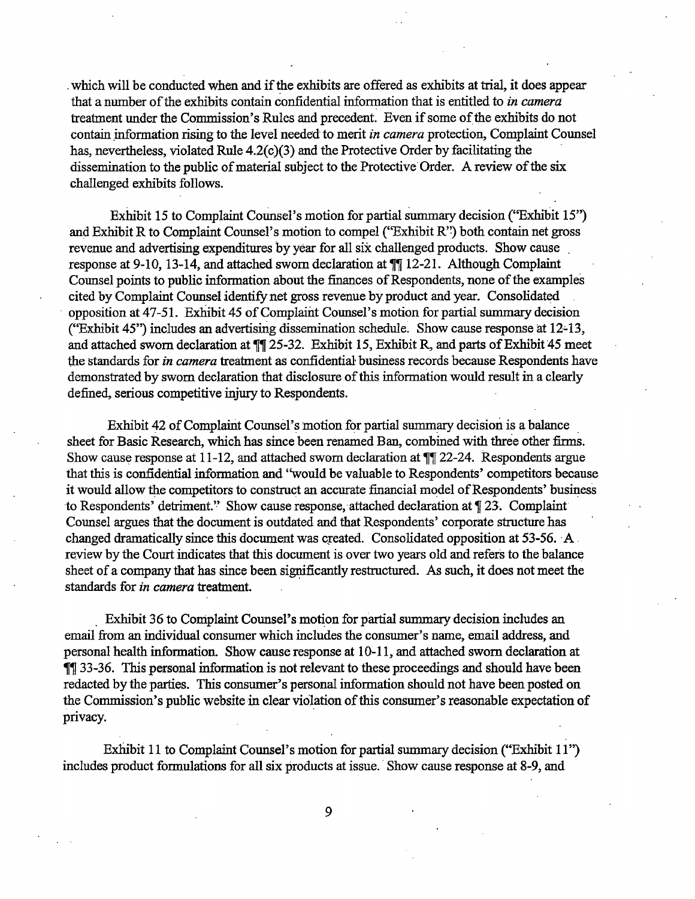which will be conducted when and if the exhibits are offered as exhibits at trial, it does appear that a number of the exhibits contain confidential information that is entitled to *in camera* treatment under the Commission's Rules and precedent. Even if some of the exhibits do not contain information rising to the level needed to merit in camera protection, Complaint Counsel has, nevertheless, violated Rule 4.2(c)(3) and the Protective Order by facilitating the dissemination to the public of material subject to the Protective Order. A review of the six challenged exhibits follows.

Exhibit 15 to Complaint Counsel's motion for partial summary decision ("Exhibit 15") and Exhibit R to Complaint Counsel's motion to compel ("Exhibit R") both contain net gross revenue and advertising expenditures by year for all six challenged products. Show cause response at 9-10, 13-14, and attached sworn declaration at  $\P$ [12-21. Although Complaint Counsel points to public information about the finances of Respondents, none of the examples cited by Complaint Counsel identify net gross revenue by product and year. Consolidated opposition at 47-51. Exhibit 45 of Complaint Counsel's motion for partial summary decision ("Exhibit 45") includes an advertising dissemination schedule. Show cause response at 12-13, and attached sworn declaration at  $\P$  25-32. Exhibit 15, Exhibit R, and parts of Exhibit 45 meet the standards for in camera treatment as confidential business records because Respondents have demonstrated by sworn declaration that disclosure of this information would result in a clearly defined, serious competitive injury to Respondents.

Exhibit 42 of Complaint Counsel's motion for partial summary decision is a balance sheet for Basic Research, which has since been renamed Ban, combined with three other firms. Show cause response at 11-12, and attached sworn declaration at  $\P$  22-24. Respondents argue that this is confidential information and "would be valuable to Respondents' competitors because it would allow the competitors to construct an accurate financial model of Respondents' business to Respondents' detriment." Show cause response, attached declaration at [23. Complaint] Counsel argues that the document is outdated and that Respondents' corporate structure has changed dramatically since this document was created. Consolidated opposition at 53-56. A review by the Court indicates that this document is over two years old and refers to the balance sheet of a company that has since been significantly restructured. As such, it does not meet the standards for in camera treatment.

Exhibit 36 to Complaint Counsel's motion for partial summary decision includes an email from an individual consumer which includes the consumer's name, email address, and personal health information. Show cause response at 10-11, and attached sworn declaration at **11** 33-36. This personal information is not relevant to these proceedings and should have been redacted by the parties. This consumer's personal information should not have been posted on the Commission's public website in clear violation of this consumer's reasonable expectation of privacy.

Exhibit 11 to Complaint Counsel's motion for partial summary decision ("Exhibit 11") includes product formulations for all six products at issue. Show cause response at 8-9, and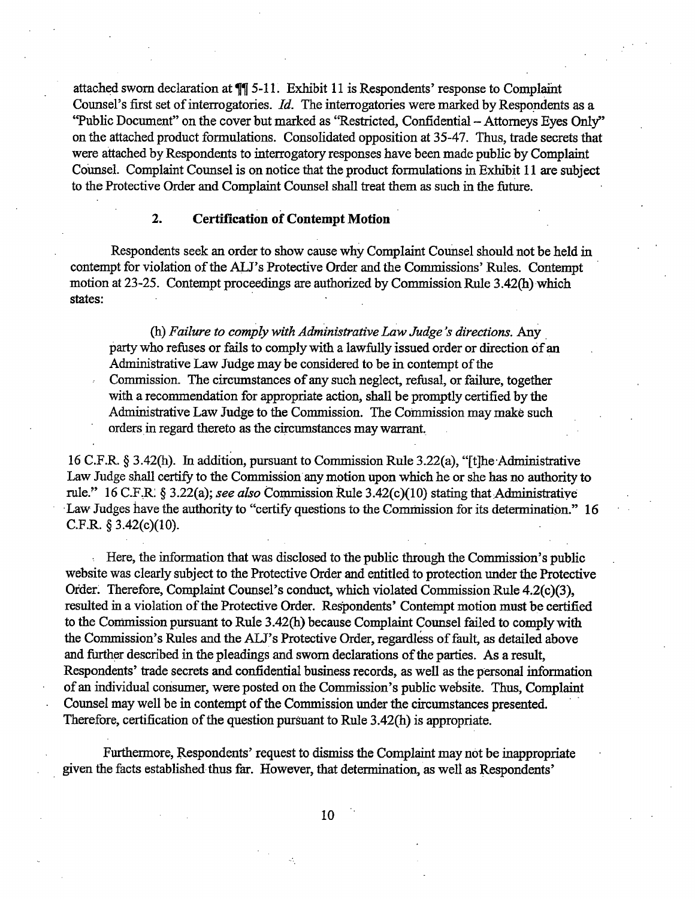attached sworn declaration at ¶ 5-11. Exhibit 11 is Respondents' response to Complaint Counsel's first set of interrogatories. Id. The interrogatories were marked by Respondents as a "Public Document" on the cover but marked as "Restricted, Confidential - Attorneys Eyes Only" on the attached product formulations. Consolidated opposition at 35-47. Thus, trade secrets that were attached by Respondents to interrogatory responses have been made public by Complaint Counsel. Complaint Counsel is on notice that the product formulations in Exhibit 11 are subject to the Protective Order and Complaint Counsel shall treat them as such in the future.

### $2.$ **Certification of Contempt Motion**

Respondents seek an order to show cause why Complaint Counsel should not be held in contempt for violation of the ALJ's Protective Order and the Commissions' Rules. Contempt motion at 23-25. Contempt proceedings are authorized by Commission Rule 3.42(h) which states:

(h) Failure to comply with Administrative Law Judge's directions. Any party who refuses or fails to comply with a lawfully issued order or direction of an Administrative Law Judge may be considered to be in contempt of the Commission. The circumstances of any such neglect, refusal, or failure, together with a recommendation for appropriate action, shall be promptly certified by the Administrative Law Judge to the Commission. The Commission may make such orders in regard thereto as the circumstances may warrant.

16 C.F.R. § 3.42(h). In addition, pursuant to Commission Rule 3.22(a), "[t]he Administrative Law Judge shall certify to the Commission any motion upon which he or she has no authority to rule." 16 C.F.R. § 3.22(a); see also Commission Rule 3.42(c)(10) stating that Administrative Law Judges have the authority to "certify questions to the Commission for its determination." 16 C.F.R.  $§ 3.42(c)(10)$ .

Here, the information that was disclosed to the public through the Commission's public website was clearly subject to the Protective Order and entitled to protection under the Protective Order. Therefore, Complaint Counsel's conduct, which violated Commission Rule 4.2(c)(3), resulted in a violation of the Protective Order. Respondents' Contempt motion must be certified to the Commission pursuant to Rule 3.42(h) because Complaint Counsel failed to comply with the Commission's Rules and the ALJ's Protective Order, regardless of fault, as detailed above and further described in the pleadings and sworn declarations of the parties. As a result, Respondents' trade secrets and confidential business records, as well as the personal information of an individual consumer, were posted on the Commission's public website. Thus, Complaint Counsel may well be in contempt of the Commission under the circumstances presented. Therefore, certification of the question pursuant to Rule 3.42(h) is appropriate.

Furthermore, Respondents' request to dismiss the Complaint may not be inappropriate given the facts established thus far. However, that determination, as well as Respondents'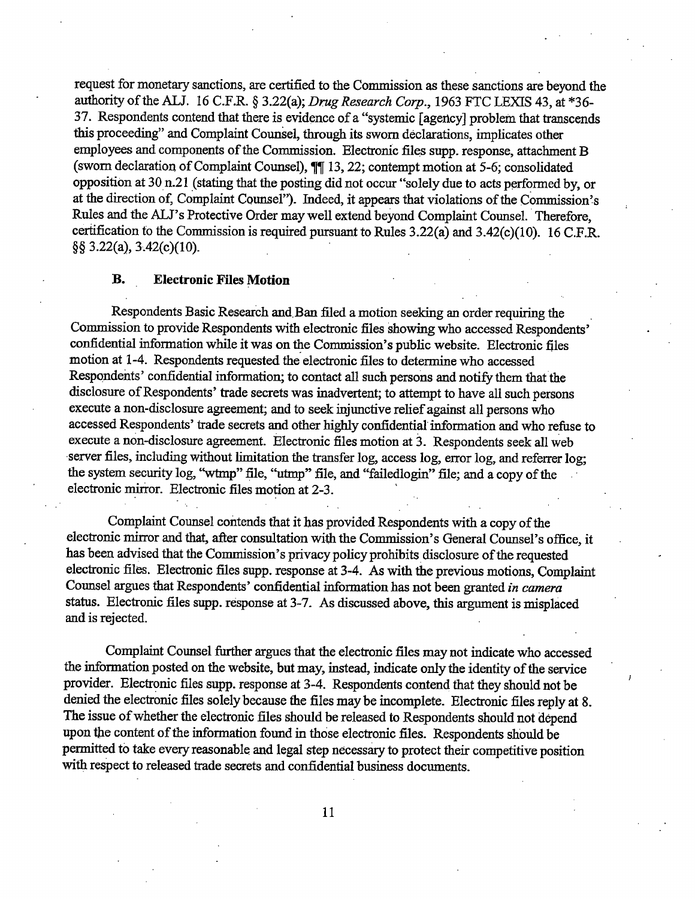request for monetary sanctions, are certified to the Commission as these sanctions are beyond the authority of the ALJ. 16 C.F.R. § 3.22(a); Drug Research Corp., 1963 FTC LEXIS 43, at \*36-37. Respondents contend that there is evidence of a "systemic [agency] problem that transcends this proceeding" and Complaint Counsel, through its sworn declarations, implicates other employees and components of the Commission. Electronic files supp. response, attachment B (sworn declaration of Complaint Counsel),  $\P\P$  13, 22; contempt motion at 5-6; consolidated opposition at 30 n.21 (stating that the posting did not occur "solely due to acts performed by, or at the direction of, Complaint Counsel"). Indeed, it appears that violations of the Commission's Rules and the ALJ's Protective Order may well extend beyond Complaint Counsel. Therefore, certification to the Commission is required pursuant to Rules 3.22(a) and 3.42(c)(10). 16 C.F.R.  $\S$ § 3.22(a), 3.42(c)(10).

### В. **Electronic Files Motion**

Respondents Basic Research and Ban filed a motion seeking an order requiring the Commission to provide Respondents with electronic files showing who accessed Respondents' confidential information while it was on the Commission's public website. Electronic files motion at 1-4. Respondents requested the electronic files to determine who accessed Respondents' confidential information; to contact all such persons and notify them that the disclosure of Respondents' trade secrets was inadvertent; to attempt to have all such persons execute a non-disclosure agreement; and to seek injunctive relief against all persons who accessed Respondents' trade secrets and other highly confidential information and who refuse to execute a non-disclosure agreement. Electronic files motion at 3. Respondents seek all web server files, including without limitation the transfer log, access log, error log, and referrer log; the system security log, "wtmp" file, "utmp" file, and "failedlogin" file; and a copy of the electronic mirror. Electronic files motion at 2-3.

Complaint Counsel contends that it has provided Respondents with a copy of the electronic mirror and that, after consultation with the Commission's General Counsel's office, it has been advised that the Commission's privacy policy prohibits disclosure of the requested electronic files. Electronic files supp. response at 3-4. As with the previous motions, Complaint Counsel argues that Respondents' confidential information has not been granted in camera status. Electronic files supp. response at 3-7. As discussed above, this argument is misplaced and is rejected.

Complaint Counsel further argues that the electronic files may not indicate who accessed the information posted on the website, but may, instead, indicate only the identity of the service provider. Electronic files supp. response at 3-4. Respondents contend that they should not be denied the electronic files solely because the files may be incomplete. Electronic files renly at 8. The issue of whether the electronic files should be released to Respondents should not depend upon the content of the information found in those electronic files. Respondents should be permitted to take every reasonable and legal step necessary to protect their competitive position with respect to released trade secrets and confidential business documents.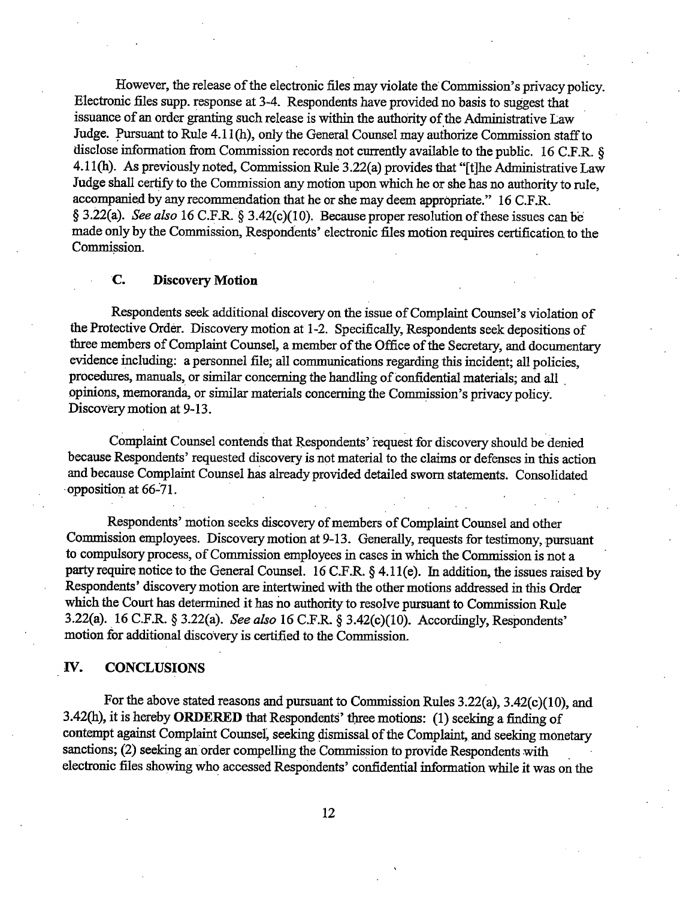However, the release of the electronic files may violate the Commission's privacy policy. Electronic files supp. response at 3-4. Respondents have provided no basis to suggest that issuance of an order granting such release is within the authority of the Administrative Law Judge. Pursuant to Rule 4.11(h), only the General Counsel may authorize Commission staff to disclose information from Commission records not currently available to the public. 16 C.F.R. 8 4.11(h). As previously noted, Commission Rule 3.22(a) provides that "[t]he Administrative Law Judge shall certify to the Commission any motion upon which he or she has no authority to rule, accompanied by any recommendation that he or she may deem appropriate." 16 C.F.R. § 3.22(a). See also 16 C.F.R. § 3.42(c)(10). Because proper resolution of these issues can be made only by the Commission, Respondents' electronic files motion requires certification to the Commission.

# **Discovery Motion** C.

Respondents seek additional discovery on the issue of Complaint Counsel's violation of the Protective Order. Discovery motion at 1-2. Specifically, Respondents seek depositions of three members of Complaint Counsel, a member of the Office of the Secretary, and documentary evidence including: a personnel file; all communications regarding this incident; all policies, procedures, manuals, or similar concerning the handling of confidential materials; and all opinions, memoranda, or similar materials concerning the Commission's privacy policy. Discovery motion at 9-13.

Complaint Counsel contends that Respondents' request for discovery should be denied because Respondents' requested discovery is not material to the claims or defenses in this action and because Complaint Counsel has already provided detailed sworn statements. Consolidated opposition at 66-71.

Respondents' motion seeks discovery of members of Complaint Counsel and other Commission employees. Discovery motion at 9-13. Generally, requests for testimony, pursuant to compulsory process, of Commission employees in cases in which the Commission is not a party require notice to the General Counsel. 16 C.F.R. § 4.11(e). In addition, the issues raised by Respondents' discovery motion are intertwined with the other motions addressed in this Order which the Court has determined it has no authority to resolve pursuant to Commission Rule 3.22(a). 16 C.F.R. § 3.22(a). See also 16 C.F.R. § 3.42(c)(10). Accordingly, Respondents' motion for additional discovery is certified to the Commission.

## IV. **CONCLUSIONS**

For the above stated reasons and pursuant to Commission Rules 3.22(a), 3.42(c)(10), and 3.42(h), it is hereby **ORDERED** that Respondents' three motions: (1) seeking a finding of contempt against Complaint Counsel, seeking dismissal of the Complaint, and seeking monetary sanctions; (2) seeking an order compelling the Commission to provide Respondents with electronic files showing who accessed Respondents' confidential information while it was on the